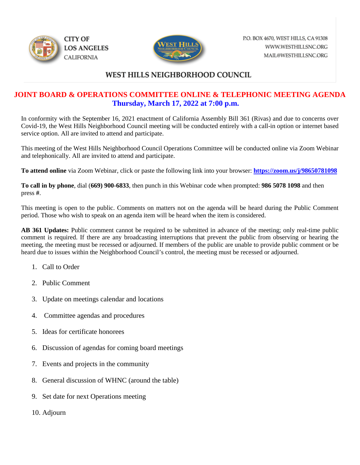



## WEST HILLS NEIGHBORHOOD COUNCIL

## **JOINT BOARD & OPERATIONS COMMITTEE ONLINE & TELEPHONIC MEETING AGENDA Thursday, March 17, 2022 at 7:00 p.m.**

In conformity with the September 16, 2021 enactment of California Assembly Bill 361 (Rivas) and due to concerns over Covid-19, the West Hills Neighborhood Council meeting will be conducted entirely with a call-in option or internet based service option. All are invited to attend and participate.

This meeting of the West Hills Neighborhood Council Operations Committee will be conducted online via Zoom Webinar and telephonically. All are invited to attend and participate.

**To attend online** via Zoom Webinar, click or paste the following link into your browser: **<https://zoom.us/j/98650781098>**

**To call in by phone**, dial (**669) 900-6833**, then punch in this Webinar code when prompted: **986 5078 1098** and then press **#**.

This meeting is open to the public. Comments on matters not on the agenda will be heard during the Public Comment period. Those who wish to speak on an agenda item will be heard when the item is considered.

**AB 361 Updates:** Public comment cannot be required to be submitted in advance of the meeting; only real-time public comment is required. If there are any broadcasting interruptions that prevent the public from observing or hearing the meeting, the meeting must be recessed or adjourned. If members of the public are unable to provide public comment or be heard due to issues within the Neighborhood Council's control, the meeting must be recessed or adjourned.

- 1. Call to Order
- 2. Public Comment
- 3. Update on meetings calendar and locations
- 4. Committee agendas and procedures
- 5. Ideas for certificate honorees
- 6. Discussion of agendas for coming board meetings
- 7. Events and projects in the community
- 8. General discussion of WHNC (around the table)
- 9. Set date for next Operations meeting
- 10. Adjourn